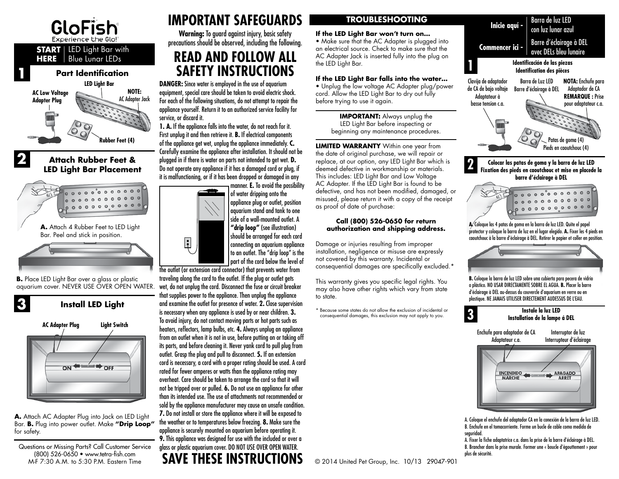



**A.** Attach AC Adapter Plug into Jack on LED Light Bar. **B.** Plug into power outlet. Make **"Drip Loop"** for safety.

Questions or Missing Parts? Call Customer Service (800) 526-0650 • www.tetra-fish.com<br>M-E 7:30 A M, to 5:30 P M, Eastern Time

# **IMPORTANT SAFEGUARDS**

**Warning:** To guard against injury, basic safety precautions should be observed, including the following.

# **READ AND FOLLOW ALL**

**DANGER:** Since water is employed in the use of aquarium equipment, special care should be taken to avoid electric shock. For each of the following situations, do not attempt to repair the appliance yourself. Return it to an authorized service facility for service, or discard it.

**1. A.** If the appliance falls into the water, do not reach for it. First unplug it and then retrieve it. **B.** If electrical components of the appliance get wet, unplug the appliance immediately. **C.** Carefully examine the appliance after installation. It should not be it is malfunctioning, or if it has been dropped or damaged in any

 $\ddot{E}$ 

manner. **E.** To avoid the possibility of water dripping onto the appliance plug or outlet, position aquarium stand and tank to one side of a wall-mounted outlet. A **"drip loop"** (see illustration) should be arranged for each cord connecting an aquarium appliance to an outlet. The "drip loop" is the part of the cord below the level of

**<sup>3</sup> <sup>3</sup>** the outlet (or extension cord connector) that prevents water from traveling along the cord to the outlet. If the plug or outlet gets wet, do not unplug the cord. Disconnect the fuse or circuit breaker that supplies power to the appliance. Then unplug the appliance and examine the outlet for presence of water. **2.** Close supervision is necessary when any appliance is used by or near children. **3.** To avoid injury, do not contact moving parts or hot parts such as heaters, reflectors, lamp bulbs, etc. **4.** Always unplug an appliance from an outlet when it is not in use, before putting on or taking off its parts, and before cleaning it. Never yank cord to pull plug from outlet. Grasp the plug and pull to disconnect. **5.** If an extension cord is necessary, a cord with a proper rating should be used. A cord rated for fewer amperes or watts than the appliance rating may overheat. Care should be taken to arrange the cord so that it will not be tripped over or pulled. **6.** Do not use an appliance for other than its intended use. The use of attachments not recommended or sold by the appliance manufacturer may cause an unsafe condition. **7.** Do not install or store the appliance where it will be exposed to the weather or to temperatures below freezing. **8.** Make sure the appliance is securely mounted on aquarium before operating it. **9.** This appliance was designed for use with the included or over a glass or plastic aquarium cover. DO NOT USE OVER OPEN WATER. **SAVE THESE INSTRUCTIONS**

## **TROUBLESHOOTING**

#### **If the LED Light Bar won't turn on…**

• Make sure that the AC Adapter is plugged into an electrical source. Check to make sure that the AC Adapter Jack is inserted fully into the plug on the LED Light Bar.

### **If the LED Light Bar falls into the water…**

• Unplug the low voltage AC Adapter plug/power cord. Allow the LED Light Bar to dry out fully before trying to use it again.

> **IMPORTANT:** Always unplug the LED Light Bar before inspecting or beginning any maintenance procedures.

**LED Light Bar Placement** Do not operate any appliance if it has a damaged cord or plug, if deemed defective in workmanship or materials. **The colocar las patas de goma y la barra de luz LED**<br>LED Light Bar Placement Do not **LIMITED WARRANTY** Within one year from the date of original purchase, we will repair or replace, at our option, any LED Light Bar which is deemed defective in workmanship or materials. This includes: LED Light Bar and Low Voltage AC Adapter. If the LED Light Bar is found to be defective, and has not been modified, damaged, or misused, please return it with a copy of the receipt as proof of date of purchase:

#### **Call (800) 526-0650 for return authorization and shipping address.**

Damage or injuries resulting from improper installation, negligence or misuse are expressly not covered by this warranty. Incidental or consequential damages are specifically excluded.\*

This warranty gives you specific legal rights. You may also have other rights which vary from state to state.

\* Because some states do not allow the exclusion of incidental or consequential damages, this exclusion may not apply to you.



## **Fixation des pieds en caoutchouc et mise en placede la barre d'éclairage à DEL**



**A.** Coloque las 4 patas de goma en la barra de luz LED. Quite el papel protector y coloque la barra de luz en el lugar elegido. **A.** Fixer les 4 pieds en caoutchouc à la barre d'éclairage à DEL. Retirer le papier et coller en position.



**B.** Coloque la barra de luz LED sobre una cubierta para pecera de vidrio o plástico. NO USAR DIRECTAMENTE SOBRE EL AGUA. **B.** Placer la barre d'éclairage à DEL au-dessus du couvercle d'aquarium en verre ou en plastique. NE JAMAIS UTILISER DIRECTEMENT AUDESSUS DE L'EAU.

#### **Instale la luz LED Installation de la lampe á DEL**

Enchufe para adaptador de CA Adaptateur c.a.

Interruptor de luz Interrupteur d'éclairage



A. Coloque el enchufe del adaptador CA en la conexión de la barra de luz LED. B. Enchufe en el tomacorriente. Forme un bucle de cable como medida de seguridad.

A. Fixer la fiche adaptatrice c.a. dans la prise de la barre d'éclairage à DEL. B. Brancher dans la prise murale. Former une « boucle d'égouttement » pour plus de sécurité.